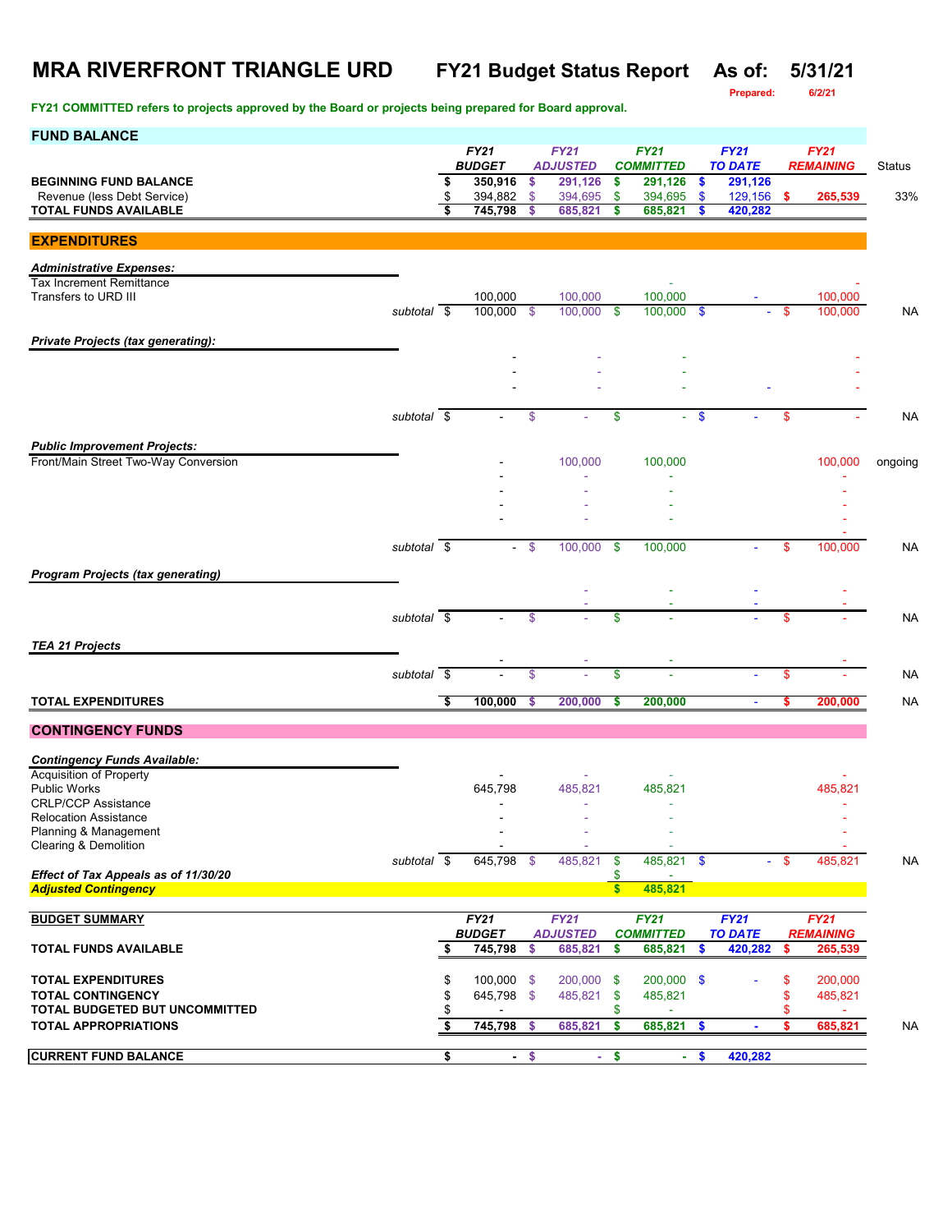# **MRA RIVERFRONT TRIANGLE URD FY21 Budget Status Report As of: 5/31/21**

**FY21 COMMITTED refers to projects approved by the Board or projects being prepared for Board approval.**

**Prepared: 6/2/21**

| FY21<br><b>FY21</b><br><b>FY21</b><br><b>FY21</b><br><b>FY21</b><br><b>BUDGET</b><br><b>TO DATE</b><br><b>ADJUSTED</b><br><b>COMMITTED</b><br><b>REMAINING</b><br>Status<br>\$<br>291,126<br><b>BEGINNING FUND BALANCE</b><br>350,916<br>\$<br>291,126<br>291,126<br>\$<br>\$<br>Revenue (less Debt Service)<br>\$<br>394,882<br>129,156 \$<br>$\mathfrak{S}$<br>394,695<br>\$<br>394,695<br>\$<br>265,539 |           |
|------------------------------------------------------------------------------------------------------------------------------------------------------------------------------------------------------------------------------------------------------------------------------------------------------------------------------------------------------------------------------------------------------------|-----------|
|                                                                                                                                                                                                                                                                                                                                                                                                            |           |
|                                                                                                                                                                                                                                                                                                                                                                                                            |           |
|                                                                                                                                                                                                                                                                                                                                                                                                            | 33%       |
| <b>TOTAL FUNDS AVAILABLE</b><br>\$<br>745,798<br>685,821<br>685,821<br>420,282<br>\$<br>\$<br>S                                                                                                                                                                                                                                                                                                            |           |
|                                                                                                                                                                                                                                                                                                                                                                                                            |           |
| <b>EXPENDITURES</b>                                                                                                                                                                                                                                                                                                                                                                                        |           |
| <b>Administrative Expenses:</b>                                                                                                                                                                                                                                                                                                                                                                            |           |
| <b>Tax Increment Remittance</b>                                                                                                                                                                                                                                                                                                                                                                            |           |
| Transfers to URD III<br>100,000<br>100,000<br>100,000<br>100,000<br>100,000 \$<br>100,000<br>$100,000$ \$<br>100,000<br>subtotal \$<br>\$<br>\$                                                                                                                                                                                                                                                            | <b>NA</b> |
|                                                                                                                                                                                                                                                                                                                                                                                                            |           |
| <b>Private Projects (tax generating):</b>                                                                                                                                                                                                                                                                                                                                                                  |           |
|                                                                                                                                                                                                                                                                                                                                                                                                            |           |
|                                                                                                                                                                                                                                                                                                                                                                                                            |           |
|                                                                                                                                                                                                                                                                                                                                                                                                            |           |
| subtotal $\overline{\$}$<br>$\boldsymbol{\mathsf{S}}$<br>\$<br>- \$<br>\$                                                                                                                                                                                                                                                                                                                                  | NA        |
|                                                                                                                                                                                                                                                                                                                                                                                                            |           |
| <b>Public Improvement Projects:</b>                                                                                                                                                                                                                                                                                                                                                                        |           |
| Front/Main Street Two-Way Conversion<br>100,000<br>100,000<br>100,000<br>ongoing                                                                                                                                                                                                                                                                                                                           |           |
|                                                                                                                                                                                                                                                                                                                                                                                                            |           |
|                                                                                                                                                                                                                                                                                                                                                                                                            |           |
|                                                                                                                                                                                                                                                                                                                                                                                                            |           |
| subtotal \$<br>$-$ \$<br>100.000<br>100.000<br>-\$<br>\$<br>100,000                                                                                                                                                                                                                                                                                                                                        | NA        |
|                                                                                                                                                                                                                                                                                                                                                                                                            |           |
| <b>Program Projects (tax generating)</b>                                                                                                                                                                                                                                                                                                                                                                   |           |
|                                                                                                                                                                                                                                                                                                                                                                                                            |           |
| subtotal \$<br>\$<br>\$<br>\$                                                                                                                                                                                                                                                                                                                                                                              | <b>NA</b> |
|                                                                                                                                                                                                                                                                                                                                                                                                            |           |
| <b>TEA 21 Projects</b>                                                                                                                                                                                                                                                                                                                                                                                     |           |
| subtotal $\overline{\$}$<br>\$<br>\$<br>\$                                                                                                                                                                                                                                                                                                                                                                 | <b>NA</b> |
|                                                                                                                                                                                                                                                                                                                                                                                                            |           |
| <b>TOTAL EXPENDITURES</b><br>\$<br>100,000<br>200,000<br>200,000<br>200,000<br>\$<br>\$                                                                                                                                                                                                                                                                                                                    | <b>NA</b> |
| <b>CONTINGENCY FUNDS</b>                                                                                                                                                                                                                                                                                                                                                                                   |           |
|                                                                                                                                                                                                                                                                                                                                                                                                            |           |
| <b>Contingency Funds Available:</b>                                                                                                                                                                                                                                                                                                                                                                        |           |
| Acquisition of Property                                                                                                                                                                                                                                                                                                                                                                                    |           |
| <b>Public Works</b><br>645,798<br>485,821<br>485,821<br>485,821<br><b>CRLP/CCP Assistance</b>                                                                                                                                                                                                                                                                                                              |           |
| <b>Relocation Assistance</b>                                                                                                                                                                                                                                                                                                                                                                               |           |
| Planning & Management                                                                                                                                                                                                                                                                                                                                                                                      |           |
| Clearing & Demolition                                                                                                                                                                                                                                                                                                                                                                                      |           |
| 485,821 \$<br>subtotal \$<br>645,798 \$<br>485,821<br>\$<br>\$<br>485,821<br>Effect of Tax Appeals as of 11/30/20<br>\$                                                                                                                                                                                                                                                                                    | <b>NA</b> |
| \$<br>485,821<br><b>Adjusted Contingency</b>                                                                                                                                                                                                                                                                                                                                                               |           |
|                                                                                                                                                                                                                                                                                                                                                                                                            |           |
| <b>FY21</b><br><b>FY21</b><br><b>FY21</b><br>FY21<br><b>BUDGET SUMMARY</b><br><b>FY21</b>                                                                                                                                                                                                                                                                                                                  |           |
| <b>BUDGET</b><br><b>ADJUSTED</b><br><b>COMMITTED</b><br><b>TO DATE</b><br><b>REMAINING</b><br>745,798<br>685,821<br>685,821<br>420,282<br>TOTAL FUNDS AVAILABLE<br>\$<br>\$<br>\$<br>\$<br>265,539<br>S                                                                                                                                                                                                    |           |
|                                                                                                                                                                                                                                                                                                                                                                                                            |           |
| <b>TOTAL EXPENDITURES</b><br>\$<br>100,000<br>200,000<br>200,000 \$<br>\$<br>200,000<br>\$<br>\$                                                                                                                                                                                                                                                                                                           |           |
| <b>TOTAL CONTINGENCY</b><br>\$<br>645,798 \$<br>485,821<br>485,821<br>\$<br>485,821<br>\$                                                                                                                                                                                                                                                                                                                  |           |
| <b>TOTAL BUDGETED BUT UNCOMMITTED</b><br>\$<br>\$<br>S                                                                                                                                                                                                                                                                                                                                                     |           |
| \$<br>745,798<br><b>TOTAL APPROPRIATIONS</b><br>685,821<br>\$<br>685,821<br>\$<br>685,821<br>-\$<br>$\bullet$<br>÷.                                                                                                                                                                                                                                                                                        | <b>NA</b> |
| <b>CURRENT FUND BALANCE</b><br>\$<br>$-$ \$<br>\$<br>\$<br>420,282<br>$\omega$<br>$\blacksquare$                                                                                                                                                                                                                                                                                                           |           |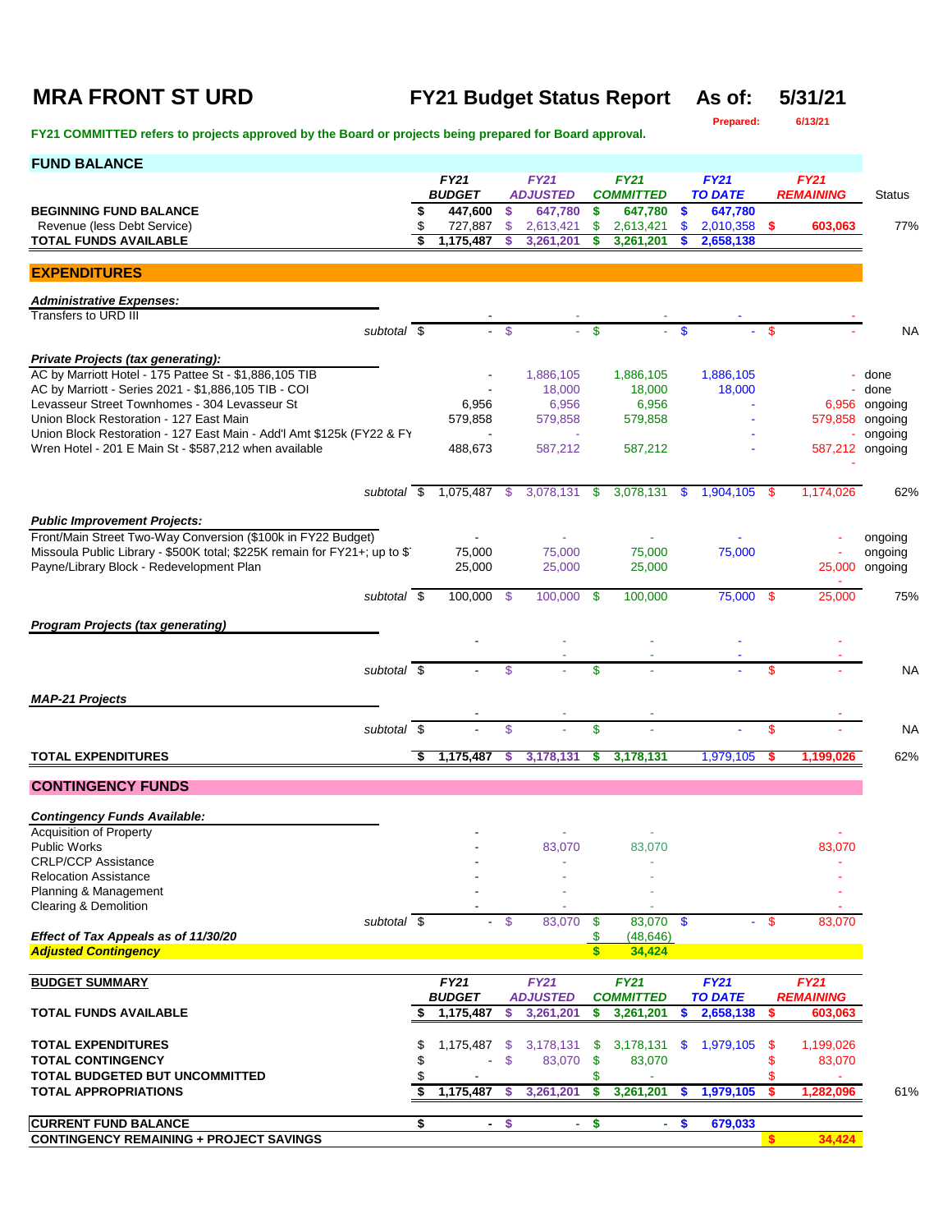### **MRA FRONT ST URD FY21 Budget Status Report As of: 5/31/21**

**Prepared: 6/13/21**

| <b>FUND BALANCE</b>                                                                                                                        |          |                    |                    |                            |                           |                             |               |                      |      |                  |                       |
|--------------------------------------------------------------------------------------------------------------------------------------------|----------|--------------------|--------------------|----------------------------|---------------------------|-----------------------------|---------------|----------------------|------|------------------|-----------------------|
|                                                                                                                                            |          | <b>FY21</b>        |                    | <b>FY21</b>                |                           | <b>FY21</b>                 |               | <b>FY21</b>          |      | <b>FY21</b>      |                       |
|                                                                                                                                            |          | <b>BUDGET</b>      |                    | <b>ADJUSTED</b><br>647,780 |                           | <b>COMMITTED</b><br>647,780 |               | <b>TO DATE</b>       |      | <b>REMAINING</b> | Status                |
| <b>BEGINNING FUND BALANCE</b><br>Revenue (less Debt Service)                                                                               | \$<br>\$ | 447,600<br>727,887 | \$.<br>\$          | 2,613,421                  | \$<br>\$                  | 2,613,421                   | \$<br>\$      | 647,780<br>2,010,358 | - \$ | 603,063          | 77%                   |
| <b>TOTAL FUNDS AVAILABLE</b>                                                                                                               | \$       | 1,175,487          |                    | 3,261,201                  | \$                        | 3,261,201                   |               | 2,658,138            |      |                  |                       |
|                                                                                                                                            |          |                    |                    |                            |                           |                             |               |                      |      |                  |                       |
| <b>EXPENDITURES</b>                                                                                                                        |          |                    |                    |                            |                           |                             |               |                      |      |                  |                       |
| <b>Administrative Expenses:</b>                                                                                                            |          |                    |                    |                            |                           |                             |               |                      |      |                  |                       |
| Transfers to URD III                                                                                                                       |          |                    |                    |                            |                           |                             |               |                      |      |                  |                       |
| subtotal \$                                                                                                                                |          |                    | $\mathbf{\hat{s}}$ |                            | $\mathbf{\$}$             |                             | $\mathbf{\$}$ |                      | -\$  |                  | NA                    |
|                                                                                                                                            |          |                    |                    |                            |                           |                             |               |                      |      |                  |                       |
| Private Projects (tax generating):                                                                                                         |          |                    |                    |                            |                           |                             |               |                      |      |                  |                       |
| AC by Marriott Hotel - 175 Pattee St - \$1,886,105 TIB<br>AC by Marriott - Series 2021 - \$1,886,105 TIB - COI                             |          |                    |                    | 1,886,105                  |                           | 1,886,105                   |               | 1,886,105            |      |                  | done                  |
| Levasseur Street Townhomes - 304 Levasseur St                                                                                              |          | 6,956              |                    | 18,000<br>6,956            |                           | 18,000<br>6,956             |               | 18,000               |      |                  | done<br>6,956 ongoing |
| Union Block Restoration - 127 East Main                                                                                                    |          | 579,858            |                    | 579,858                    |                           | 579,858                     |               |                      |      |                  | 579,858 ongoing       |
| Union Block Restoration - 127 East Main - Add'l Amt \$125k (FY22 & FY                                                                      |          |                    |                    |                            |                           |                             |               |                      |      |                  | ongoing               |
| Wren Hotel - 201 E Main St - \$587,212 when available                                                                                      |          | 488,673            |                    | 587,212                    |                           | 587,212                     |               |                      |      |                  | 587,212 ongoing       |
|                                                                                                                                            |          |                    |                    |                            |                           |                             |               |                      |      |                  |                       |
|                                                                                                                                            |          |                    |                    |                            |                           |                             |               |                      |      |                  |                       |
| subtotal \$                                                                                                                                |          | 1,075,487 \$       |                    | 3,078,131 \$               |                           | 3,078,131                   | $\mathbf{\$}$ | $1,904,105$ \$       |      | 1,174,026        | 62%                   |
|                                                                                                                                            |          |                    |                    |                            |                           |                             |               |                      |      |                  |                       |
| <b>Public Improvement Projects:</b>                                                                                                        |          |                    |                    |                            |                           |                             |               |                      |      |                  |                       |
| Front/Main Street Two-Way Conversion (\$100k in FY22 Budget)<br>Missoula Public Library - \$500K total; \$225K remain for FY21+; up to \$1 |          |                    |                    |                            |                           | 75,000                      |               | 75,000               |      |                  | ongoing               |
| Payne/Library Block - Redevelopment Plan                                                                                                   |          | 75,000<br>25,000   |                    | 75,000<br>25,000           |                           | 25,000                      |               |                      |      | 25,000           | ongoing<br>ongoing    |
|                                                                                                                                            |          |                    |                    |                            |                           |                             |               |                      |      |                  |                       |
| subtotal \$                                                                                                                                |          | 100,000 \$         |                    | 100,000 \$                 |                           | 100,000                     |               | 75,000 \$            |      | 25,000           | 75%                   |
|                                                                                                                                            |          |                    |                    |                            |                           |                             |               |                      |      |                  |                       |
| <b>Program Projects (tax generating)</b>                                                                                                   |          |                    |                    |                            |                           |                             |               |                      |      |                  |                       |
|                                                                                                                                            |          |                    |                    |                            |                           |                             |               |                      |      |                  |                       |
| subtotal $\sqrt{s}$                                                                                                                        |          |                    | \$                 |                            | \$                        |                             |               |                      | \$   |                  | <b>NA</b>             |
|                                                                                                                                            |          |                    |                    |                            |                           |                             |               |                      |      |                  |                       |
| <b>MAP-21 Projects</b>                                                                                                                     |          |                    |                    |                            |                           |                             |               |                      |      |                  |                       |
|                                                                                                                                            |          |                    |                    |                            |                           |                             |               |                      |      |                  |                       |
| subtotal \$                                                                                                                                |          |                    | \$                 |                            | \$                        |                             |               |                      | \$   |                  | <b>NA</b>             |
| <b>TOTAL EXPENDITURES</b>                                                                                                                  | \$       | 1,175,487          | \$                 | 3,178,131                  | s                         | 3,178,131                   |               | 1,979,105            | \$   | 1,199,026        | 62%                   |
|                                                                                                                                            |          |                    |                    |                            |                           |                             |               |                      |      |                  |                       |
| <b>CONTINGENCY FUNDS</b>                                                                                                                   |          |                    |                    |                            |                           |                             |               |                      |      |                  |                       |
| <b>Contingency Funds Available:</b>                                                                                                        |          |                    |                    |                            |                           |                             |               |                      |      |                  |                       |
| <b>Acquisition of Property</b>                                                                                                             |          |                    |                    |                            |                           |                             |               |                      |      |                  |                       |
| <b>Public Works</b>                                                                                                                        |          |                    |                    | 83,070                     |                           | 83,070                      |               |                      |      | 83,070           |                       |
| <b>CRLP/CCP Assistance</b>                                                                                                                 |          |                    |                    |                            |                           |                             |               |                      |      |                  |                       |
| <b>Relocation Assistance</b>                                                                                                               |          |                    |                    |                            |                           |                             |               |                      |      |                  |                       |
| Planning & Management                                                                                                                      |          |                    |                    |                            |                           |                             |               |                      |      |                  |                       |
| Clearing & Demolition                                                                                                                      |          |                    |                    |                            |                           |                             |               |                      |      |                  |                       |
| subtotal \$                                                                                                                                |          |                    | - \$               | 83,070                     | -\$                       | 83,070 \$                   |               |                      | - \$ | 83,070           |                       |
| Effect of Tax Appeals as of 11/30/20                                                                                                       |          |                    |                    |                            | \$                        | (48, 646)                   |               |                      |      |                  |                       |
| <b>Adjusted Contingency</b>                                                                                                                |          |                    |                    |                            | $\mathbf{s}$              | 34,424                      |               |                      |      |                  |                       |
| <b>BUDGET SUMMARY</b>                                                                                                                      |          | FY21               |                    | <b>FY21</b>                |                           | <b>FY21</b>                 |               | <b>FY21</b>          |      | <b>FY21</b>      |                       |
|                                                                                                                                            |          | <b>BUDGET</b>      |                    | <b>ADJUSTED</b>            |                           | <b>COMMITTED</b>            |               | <b>TO DATE</b>       |      | <b>REMAINING</b> |                       |
| <b>TOTAL FUNDS AVAILABLE</b>                                                                                                               |          | 1,175,487          | S                  | 3,261,201                  | \$                        | 3,261,201                   | \$            | 2,658,138            | S    | 603,063          |                       |
|                                                                                                                                            |          |                    |                    |                            |                           |                             |               |                      |      |                  |                       |
| <b>TOTAL EXPENDITURES</b>                                                                                                                  | S        | 1,175,487          | \$                 | 3,178,131                  | - \$                      | 3,178,131                   | \$            | 1,979,105            | \$   | 1,199,026        |                       |
| <b>TOTAL CONTINGENCY</b>                                                                                                                   | \$       |                    | \$                 | 83,070                     | $\boldsymbol{\mathsf{s}}$ | 83,070                      |               |                      | \$   | 83,070           |                       |
| TOTAL BUDGETED BUT UNCOMMITTED                                                                                                             | \$       |                    |                    |                            | \$                        |                             |               |                      | \$   |                  |                       |
| <b>TOTAL APPROPRIATIONS</b>                                                                                                                | \$       | 1,175,487          | S                  | 3,261,201                  | \$                        | 3,261,201                   | \$            | 1,979,105            | \$   | 1,282,096        | 61%                   |
|                                                                                                                                            |          |                    |                    |                            |                           |                             |               |                      |      |                  |                       |
| <b>CURRENT FUND BALANCE</b>                                                                                                                | \$       | $\blacksquare$     | $\frac{1}{2}$      | $\sim$                     | \$                        | $\blacksquare$              | \$            | 679,033              |      |                  |                       |
| <b>CONTINGENCY REMAINING + PROJECT SAVINGS</b>                                                                                             |          |                    |                    |                            |                           |                             |               |                      | s.   | 34,424           |                       |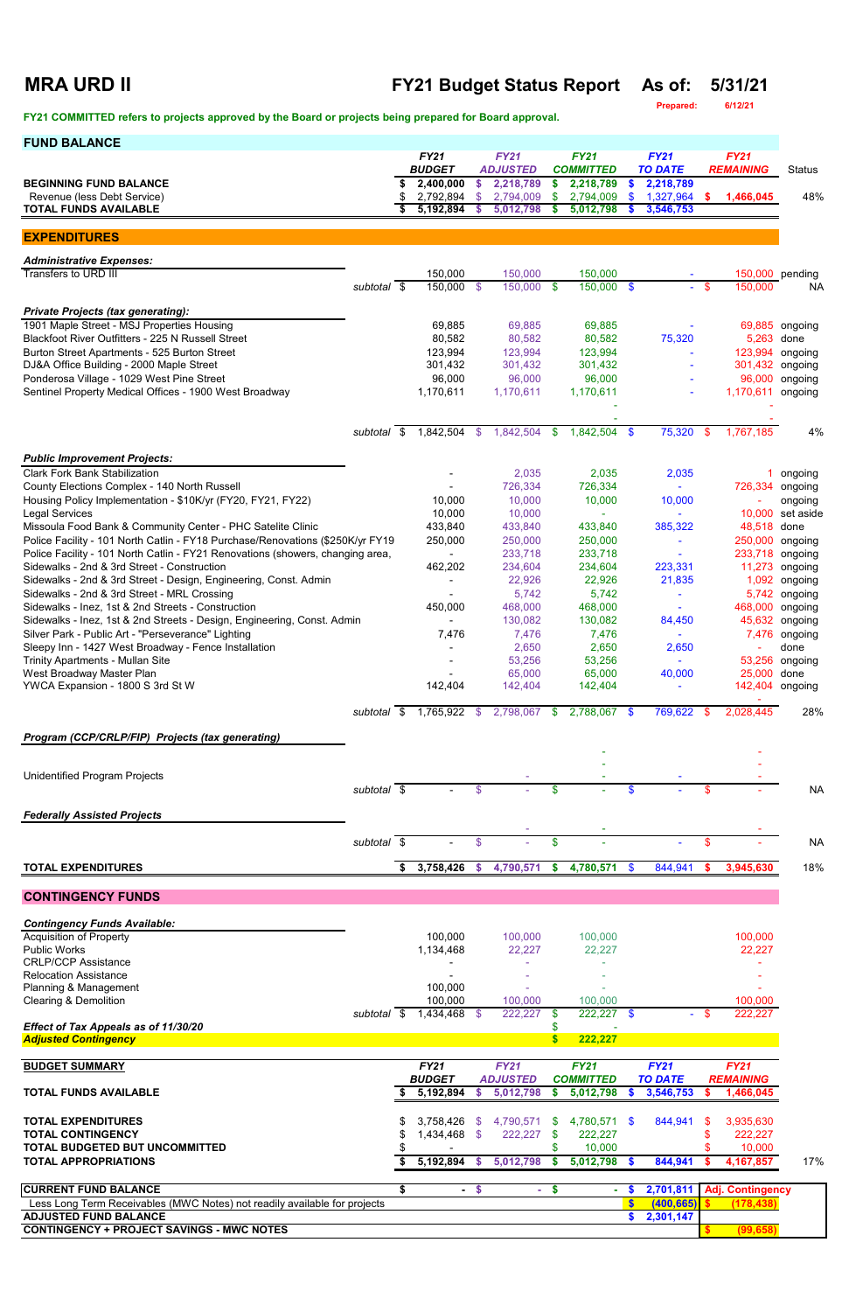## **MRA URD II FY21 Budget Status Report As of: 5/31/21**

**Prepared: 6/12/21**

| <b>FUND BALANCE</b>                                                                                             |                          |     |                               |                |                                 |                           |                                    |               |                               |                |                                 |                    |
|-----------------------------------------------------------------------------------------------------------------|--------------------------|-----|-------------------------------|----------------|---------------------------------|---------------------------|------------------------------------|---------------|-------------------------------|----------------|---------------------------------|--------------------|
|                                                                                                                 |                          |     | <b>FY21</b><br><b>BUDGET</b>  |                | <b>FY21</b><br><b>ADJUSTED</b>  |                           | <b>FY21</b><br><b>COMMITTED</b>    |               | <b>FY21</b><br><b>TO DATE</b> |                | <b>FY21</b><br><b>REMAINING</b> | <b>Status</b>      |
| <b>BEGINNING FUND BALANCE</b>                                                                                   |                          |     | 2,400,000                     | \$             | 2,218,789                       | \$                        | 2,218,789                          |               | 2,218,789                     |                |                                 |                    |
| Revenue (less Debt Service)                                                                                     |                          | \$  | 2,792,894                     | \$             | 2,794,009                       | \$                        | 2,794,009                          |               | 1,327,964                     | \$.            | 1,466,045                       | 48%                |
| <b>TOTAL FUNDS AVAILABLE</b>                                                                                    |                          | \$  | 5,192,894                     | -S             | 5,012,798                       | -S                        | 5,012,798                          |               | 3,546,753                     |                |                                 |                    |
| <b>EXPENDITURES</b>                                                                                             |                          |     |                               |                |                                 |                           |                                    |               |                               |                |                                 |                    |
| <b>Administrative Expenses:</b>                                                                                 |                          |     |                               |                |                                 |                           |                                    |               |                               |                |                                 |                    |
| <b>Transfers to URD III</b>                                                                                     |                          |     | 150,000                       |                | 150,000                         |                           | 150,000                            |               |                               |                | 150,000 pending                 |                    |
|                                                                                                                 | subtotal $\overline{\$}$ |     | $150,000$ \$                  |                | $150,000$ \$                    |                           | $150,000$ \$                       |               |                               | - \$           | 150,000                         | <b>NA</b>          |
| <b>Private Projects (tax generating):</b>                                                                       |                          |     |                               |                |                                 |                           |                                    |               |                               |                |                                 |                    |
| 1901 Maple Street - MSJ Properties Housing<br>Blackfoot River Outfitters - 225 N Russell Street                 |                          |     | 69,885<br>80,582              |                | 69,885<br>80,582                |                           | 69,885<br>80,582                   |               | 75,320                        |                | 69,885<br>5,263                 | ongoing<br>done    |
| Burton Street Apartments - 525 Burton Street                                                                    |                          |     | 123,994                       |                | 123,994                         |                           | 123,994                            |               | $\sim$                        |                | 123,994                         | ongoing            |
| DJ&A Office Building - 2000 Maple Street                                                                        |                          |     | 301,432                       |                | 301,432                         |                           | 301,432                            |               |                               |                | 301,432                         | ongoing            |
| Ponderosa Village - 1029 West Pine Street<br>Sentinel Property Medical Offices - 1900 West Broadway             |                          |     | 96,000<br>1,170,611           |                | 96,000<br>1,170,611             |                           | 96,000<br>1,170,611                |               |                               |                | 96,000<br>1,170,611             | ongoing<br>ongoing |
|                                                                                                                 |                          |     |                               |                |                                 |                           |                                    |               |                               |                |                                 |                    |
|                                                                                                                 | subtotal \$              |     | 1,842,504                     | $\mathfrak{S}$ | 1,842,504                       | \$                        | $1,842,504$ \$                     |               | 75,320                        | $\mathfrak{S}$ | 1,767,185                       | 4%                 |
|                                                                                                                 |                          |     |                               |                |                                 |                           |                                    |               |                               |                |                                 |                    |
| <b>Public Improvement Projects:</b>                                                                             |                          |     |                               |                |                                 |                           |                                    |               |                               |                |                                 |                    |
| <b>Clark Fork Bank Stabilization</b><br>County Elections Complex - 140 North Russell                            |                          |     |                               |                | 2,035<br>726,334                |                           | 2,035<br>726,334                   |               | 2,035                         |                | 726,334                         | ongoing<br>ongoing |
| Housing Policy Implementation - \$10K/yr (FY20, FY21, FY22)                                                     |                          |     | 10,000                        |                | 10,000                          |                           | 10,000                             |               | 10,000                        |                |                                 | ongoing            |
| <b>Legal Services</b>                                                                                           |                          |     | 10,000                        |                | 10,000                          |                           |                                    |               |                               |                | 10,000                          | set aside          |
| Missoula Food Bank & Community Center - PHC Satelite Clinic                                                     |                          |     | 433,840                       |                | 433,840                         |                           | 433,840                            |               | 385,322                       |                | 48,518                          | done               |
| Police Facility - 101 North Catlin - FY18 Purchase/Renovations (\$250K/yr FY19                                  |                          |     | 250,000                       |                | 250,000                         |                           | 250,000                            |               |                               |                | 250,000                         | ongoing            |
| Police Facility - 101 North Catlin - FY21 Renovations (showers, changing area,                                  |                          |     |                               |                | 233,718                         |                           | 233,718                            |               |                               |                | 233,718                         | ongoing            |
| Sidewalks - 2nd & 3rd Street - Construction                                                                     |                          |     | 462,202                       |                | 234,604                         |                           | 234,604                            |               | 223,331                       |                | 11,273                          | ongoing            |
| Sidewalks - 2nd & 3rd Street - Design, Engineering, Const. Admin<br>Sidewalks - 2nd & 3rd Street - MRL Crossing |                          |     |                               |                | 22,926<br>5,742                 |                           | 22,926<br>5,742                    |               | 21,835                        |                | 1,092<br>5,742                  | ongoing<br>ongoing |
| Sidewalks - Inez, 1st & 2nd Streets - Construction                                                              |                          |     | 450,000                       |                | 468,000                         |                           | 468,000                            |               |                               |                | 468,000 ongoing                 |                    |
| Sidewalks - Inez, 1st & 2nd Streets - Design, Engineering, Const. Admin                                         |                          |     | $\blacksquare$                |                | 130,082                         |                           | 130,082                            |               | 84,450                        |                |                                 | 45,632 ongoing     |
| Silver Park - Public Art - "Perseverance" Lighting                                                              |                          |     | 7,476                         |                | 7,476                           |                           | 7,476                              |               |                               |                |                                 | 7,476 ongoing      |
| Sleepy Inn - 1427 West Broadway - Fence Installation                                                            |                          |     |                               |                | 2,650                           |                           | 2,650                              |               | 2,650                         |                |                                 | done               |
| <b>Trinity Apartments - Mullan Site</b>                                                                         |                          |     |                               |                | 53,256                          |                           | 53,256                             |               |                               |                | 53,256                          | ongoing            |
| West Broadway Master Plan<br>YWCA Expansion - 1800 S 3rd St W                                                   |                          |     | 142,404                       |                | 65,000<br>142,404               |                           | 65,000<br>142,404                  |               | 40,000                        |                | 25,000<br>142,404 ongoing       | done               |
|                                                                                                                 |                          |     |                               |                |                                 |                           |                                    |               |                               |                |                                 |                    |
|                                                                                                                 | subtotal \$              |     | 1,765,922                     | - \$           | 2,798,067 \$                    |                           | 2,788,067 \$                       |               | 769,622                       |                | 2,028,445                       | 28%                |
| Program (CCP/CRLP/FIP) Projects (tax generating)                                                                |                          |     |                               |                |                                 |                           |                                    |               |                               |                |                                 |                    |
|                                                                                                                 |                          |     |                               |                |                                 |                           |                                    |               |                               |                |                                 |                    |
| <b>Unidentified Program Projects</b>                                                                            |                          |     |                               |                |                                 |                           |                                    |               |                               |                |                                 |                    |
|                                                                                                                 | subtotal \$              |     |                               | \$             |                                 | \$                        |                                    |               |                               | \$             |                                 | <b>NA</b>          |
| <b>Federally Assisted Projects</b>                                                                              |                          |     |                               |                |                                 |                           |                                    |               |                               |                |                                 |                    |
|                                                                                                                 |                          |     |                               |                |                                 |                           |                                    |               |                               |                |                                 |                    |
|                                                                                                                 | subtotal \$              |     |                               | \$             |                                 | \$                        |                                    |               |                               | \$             |                                 | <b>NA</b>          |
| <b>TOTAL EXPENDITURES</b>                                                                                       |                          | S.  | 3,758,426                     | $\mathbf{\$}$  | 4,790,571                       | $\boldsymbol{\mathsf{s}}$ | 4,780,571                          | $\sqrt[6]{3}$ | 844,941                       | \$.            | 3,945,630                       | 18%                |
| <b>CONTINGENCY FUNDS</b>                                                                                        |                          |     |                               |                |                                 |                           |                                    |               |                               |                |                                 |                    |
| <b>Contingency Funds Available:</b>                                                                             |                          |     |                               |                |                                 |                           |                                    |               |                               |                |                                 |                    |
| <b>Acquisition of Property</b>                                                                                  |                          |     | 100,000                       |                | 100,000                         |                           | 100,000                            |               |                               |                | 100,000                         |                    |
| <b>Public Works</b>                                                                                             |                          |     | 1,134,468                     |                | 22,227                          |                           | 22,227                             |               |                               |                | 22,227                          |                    |
| <b>CRLP/CCP Assistance</b>                                                                                      |                          |     |                               |                |                                 |                           |                                    |               |                               |                |                                 |                    |
| <b>Relocation Assistance</b>                                                                                    |                          |     |                               |                |                                 |                           |                                    |               |                               |                |                                 |                    |
| Planning & Management<br><b>Clearing &amp; Demolition</b>                                                       |                          |     | 100,000<br>100,000            |                | 100,000                         |                           | 100,000                            |               |                               |                | 100,000                         |                    |
|                                                                                                                 | subtotal $\overline{\$}$ |     | $1,434,468$ \$                |                | 222,227                         | -\$                       | $222,227$ \$                       |               |                               | - \$           | 222,227                         |                    |
| Effect of Tax Appeals as of 11/30/20                                                                            |                          |     |                               |                |                                 |                           |                                    |               |                               |                |                                 |                    |
| <b>Adjusted Contingency</b>                                                                                     |                          |     |                               |                |                                 | <b>S</b>                  | 222,227                            |               |                               |                |                                 |                    |
| <b>BUDGET SUMMARY</b>                                                                                           |                          |     | <b>FY21</b>                   |                | <b>FY21</b>                     |                           | <b>FY21</b>                        |               | <b>FY21</b>                   |                | <b>FY21</b>                     |                    |
| <b>TOTAL FUNDS AVAILABLE</b>                                                                                    |                          |     | <b>BUDGET</b><br>5,192,894 \$ |                | <b>ADJUSTED</b><br>5,012,798 \$ |                           | <b>COMMITTED</b><br>$5,012,798$ \$ |               | <b>TO DATE</b><br>3,546,753   |                | <b>REMAINING</b><br>1,466,045   |                    |
|                                                                                                                 |                          |     |                               |                |                                 |                           |                                    |               |                               |                |                                 |                    |
| <b>TOTAL EXPENDITURES</b>                                                                                       |                          |     | $3,758,426$ \$                |                | 4,790,571 \$                    |                           | 4,780,571 \$                       |               | 844,941                       | -S             | 3,935,630                       |                    |
| <b>TOTAL CONTINGENCY</b><br>TOTAL BUDGETED BUT UNCOMMITTED                                                      |                          | S   | 1,434,468 \$                  |                | $222,227$ \$                    |                           | 222,227<br>10,000                  |               |                               | \$             | 222,227<br>10,000               |                    |
| <b>TOTAL APPROPRIATIONS</b>                                                                                     |                          | - 5 | 5,192,894 \$                  |                | 5,012,798                       | - \$                      | 5,012,798 \$                       |               | 844,941                       |                | 4,167,857                       | 17%                |
|                                                                                                                 |                          |     |                               |                |                                 |                           |                                    |               |                               |                |                                 |                    |
| <b>CURRENT FUND BALANCE</b>                                                                                     |                          | \$  |                               | $-$ \$         |                                 | $-$ \$                    | $\sim$                             | $\sqrt[3]{3}$ | 2,701,811                     |                | <b>Adj. Contingency</b>         |                    |
| Less Long Term Receivables (MWC Notes) not readily available for projects                                       |                          |     |                               |                |                                 |                           |                                    | S             | (400, 665)                    |                | (178, 438)                      |                    |
| <b>ADJUSTED FUND BALANCE</b><br><b>CONTINGENCY + PROJECT SAVINGS - MWC NOTES</b>                                |                          |     |                               |                |                                 |                           |                                    |               | \$2,301,147                   |                |                                 |                    |
|                                                                                                                 |                          |     |                               |                |                                 |                           |                                    |               |                               |                | (99, 658)                       |                    |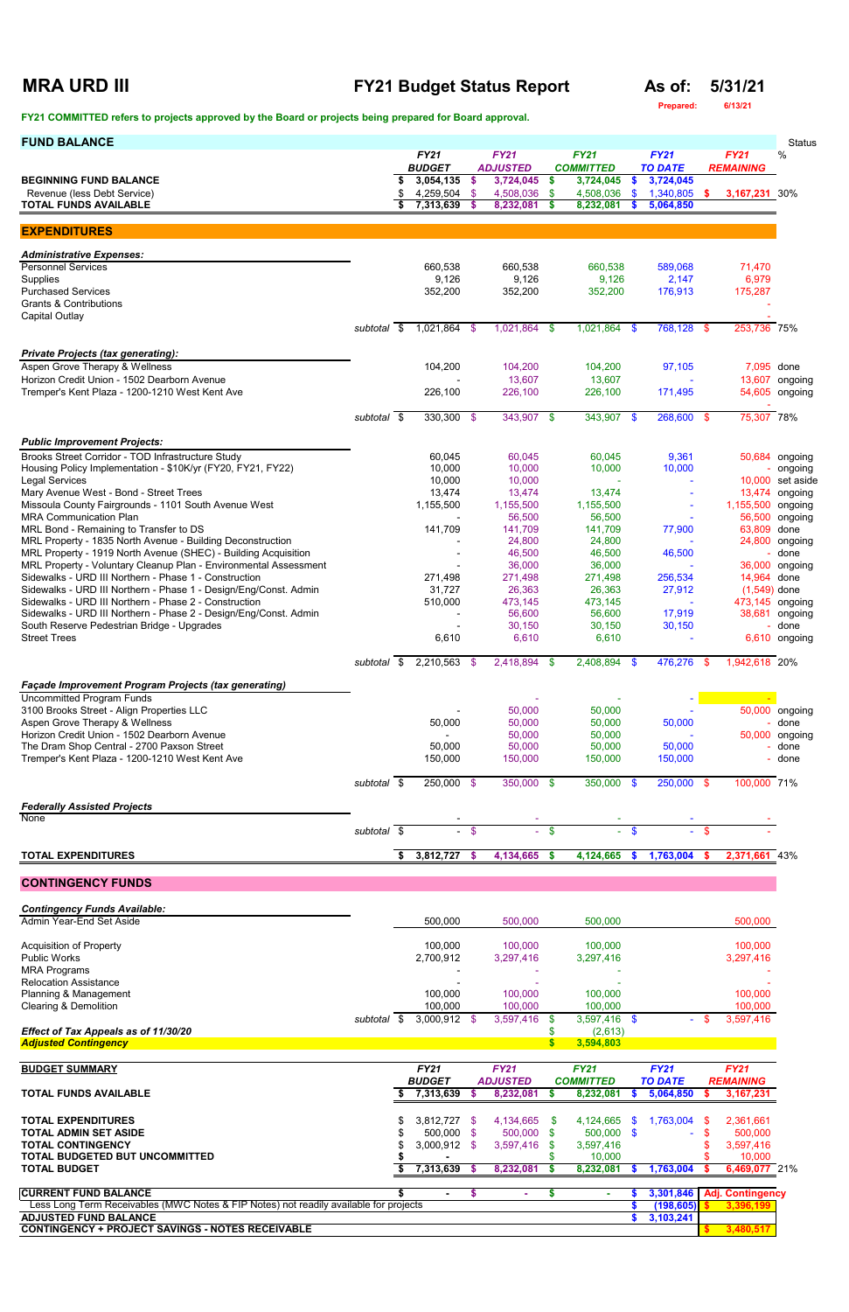## **MRA URD III FY21 Budget Status Report As of: 5/31/21**

**Prepared: 6/13/21**

| <b>FUND BALANCE</b>                                                                                                                |             |      |                              |        |                                |                    |                                 |                           |                               |             |                                 | <b>Status</b>                    |
|------------------------------------------------------------------------------------------------------------------------------------|-------------|------|------------------------------|--------|--------------------------------|--------------------|---------------------------------|---------------------------|-------------------------------|-------------|---------------------------------|----------------------------------|
|                                                                                                                                    |             |      | <b>FY21</b><br><b>BUDGET</b> |        | <b>FY21</b><br><b>ADJUSTED</b> |                    | <b>FY21</b><br><b>COMMITTED</b> |                           | <b>FY21</b><br><b>TO DATE</b> |             | <b>FY21</b><br><b>REMAINING</b> | %                                |
| <b>BEGINNING FUND BALANCE</b><br>Revenue (less Debt Service)                                                                       |             |      | 3,054,135<br>4,259,504 \$    | - \$   | 3,724,045<br>4,508,036         | \$<br>\$           | 3,724,045<br>4,508,036          | \$<br>$\mathbf{\$}$       | 3,724,045<br>1,340,805        | s.          | 3,167,231 30%                   |                                  |
| <b>TOTAL FUNDS AVAILABLE</b>                                                                                                       |             |      | 7,313,639                    | - \$   | 8,232,081                      | s.                 | 8,232,081                       |                           | 5,064,850                     |             |                                 |                                  |
| <b>EXPENDITURES</b>                                                                                                                |             |      |                              |        |                                |                    |                                 |                           |                               |             |                                 |                                  |
| <b>Administrative Expenses:</b>                                                                                                    |             |      |                              |        |                                |                    |                                 |                           |                               |             |                                 |                                  |
| <b>Personnel Services</b>                                                                                                          |             |      | 660,538                      |        | 660,538                        |                    | 660,538                         |                           | 589,068                       |             | 71,470                          |                                  |
| Supplies<br><b>Purchased Services</b>                                                                                              |             |      | 9,126<br>352,200             |        | 9,126<br>352,200               |                    | 9,126<br>352,200                |                           | 2,147<br>176,913              |             | 6,979<br>175,287                |                                  |
| <b>Grants &amp; Contributions</b>                                                                                                  |             |      |                              |        |                                |                    |                                 |                           |                               |             |                                 |                                  |
| <b>Capital Outlay</b>                                                                                                              | subtotal \$ |      | 1,021,864 \$                 |        | 1,021,864 \$                   |                    | 1,021,864 \$                    |                           | 768,128 \$                    |             | 253,736 75%                     |                                  |
| <b>Private Projects (tax generating):</b>                                                                                          |             |      |                              |        |                                |                    |                                 |                           |                               |             |                                 |                                  |
| Aspen Grove Therapy & Wellness                                                                                                     |             |      | 104,200                      |        | 104,200                        |                    | 104,200                         |                           | 97,105                        |             | 7,095 done                      |                                  |
| Horizon Credit Union - 1502 Dearborn Avenue<br>Tremper's Kent Plaza - 1200-1210 West Kent Ave                                      |             |      | 226,100                      |        | 13,607<br>226,100              |                    | 13,607<br>226,100               |                           | 171,495                       |             |                                 | 13,607 ongoing<br>54,605 ongoing |
|                                                                                                                                    |             |      |                              |        |                                |                    |                                 |                           |                               |             |                                 |                                  |
|                                                                                                                                    | subtotal \$ |      | $330,300$ \$                 |        | 343,907 \$                     |                    | 343,907 \$                      |                           | 268,600 \$                    |             | 75,307 78%                      |                                  |
| <b>Public Improvement Projects:</b>                                                                                                |             |      |                              |        |                                |                    |                                 |                           |                               |             |                                 |                                  |
| Brooks Street Corridor - TOD Infrastructure Study<br>Housing Policy Implementation - \$10K/yr (FY20, FY21, FY22)                   |             |      | 60,045<br>10,000             |        | 60,045<br>10,000               |                    | 60,045<br>10,000                |                           | 9,361<br>10,000               |             |                                 | 50,684 ongoing<br>- ongoing      |
| Legal Services                                                                                                                     |             |      | 10,000                       |        | 10,000                         |                    |                                 |                           |                               |             |                                 | 10,000 set aside                 |
| Mary Avenue West - Bond - Street Trees<br>Missoula County Fairgrounds - 1101 South Avenue West                                     |             |      | 13,474<br>1,155,500          |        | 13,474<br>1,155,500            |                    | 13,474<br>1,155,500             |                           |                               |             | 1,155,500 ongoing               | 13,474 ongoing                   |
| <b>MRA Communication Plan</b><br>MRL Bond - Remaining to Transfer to DS                                                            |             |      | 141,709                      |        | 56,500<br>141,709              |                    | 56,500<br>141,709               |                           | 77,900                        |             | 63,809 done                     | 56,500 ongoing                   |
| MRL Property - 1835 North Avenue - Building Deconstruction                                                                         |             |      |                              |        | 24,800                         |                    | 24,800                          |                           |                               |             |                                 | 24,800 ongoing                   |
| MRL Property - 1919 North Avenue (SHEC) - Building Acquisition<br>MRL Property - Voluntary Cleanup Plan - Environmental Assessment |             |      |                              |        | 46,500<br>36,000               |                    | 46,500<br>36,000                |                           | 46,500                        |             | 36,000                          | - done<br>ongoing                |
| Sidewalks - URD III Northern - Phase 1 - Construction<br>Sidewalks - URD III Northern - Phase 1 - Design/Eng/Const. Admin          |             |      | 271,498<br>31,727            |        | 271,498<br>26,363              |                    | 271,498<br>26,363               |                           | 256,534<br>27,912             |             | 14,964 done<br>$(1,549)$ done   |                                  |
| Sidewalks - URD III Northern - Phase 2 - Construction                                                                              |             |      | 510,000                      |        | 473,145                        |                    | 473,145                         |                           |                               |             |                                 | 473,145 ongoing                  |
| Sidewalks - URD III Northern - Phase 2 - Design/Eng/Const. Admin<br>South Reserve Pedestrian Bridge - Upgrades                     |             |      |                              |        | 56,600<br>30,150               |                    | 56,600<br>30,150                |                           | 17,919<br>30,150              |             |                                 | 38,681 ongoing<br>done           |
| <b>Street Trees</b>                                                                                                                |             |      | 6,610                        |        | 6,610                          |                    | 6,610                           |                           |                               |             |                                 | 6,610 ongoing                    |
|                                                                                                                                    | subtotal \$ |      | 2,210,563 \$                 |        | 2,418,894 \$                   |                    | $2,408,894$ \$                  |                           | 476,276 \$                    |             | 1,942,618 20%                   |                                  |
| <b>Façade Improvement Program Projects (tax generating)</b>                                                                        |             |      |                              |        |                                |                    |                                 |                           |                               |             |                                 |                                  |
| <b>Uncommitted Program Funds</b>                                                                                                   |             |      |                              |        |                                |                    |                                 |                           |                               |             |                                 |                                  |
| 3100 Brooks Street - Align Properties LLC<br>Aspen Grove Therapy & Wellness                                                        |             |      | 50,000                       |        | 50,000<br>50,000               |                    | 50,000<br>50,000                |                           | 50,000                        |             |                                 | 50,000 ongoing<br>- done         |
| Horizon Credit Union - 1502 Dearborn Avenue<br>The Dram Shop Central - 2700 Paxson Street                                          |             |      | 50,000                       |        | 50,000<br>50,000               |                    | 50,000<br>50,000                |                           | 50,000                        |             |                                 | 50,000 ongoing<br>done           |
| Tremper's Kent Plaza - 1200-1210 West Kent Ave                                                                                     |             |      | 150,000                      |        | 150,000                        |                    | 150,000                         |                           | 150,000                       |             |                                 | done                             |
|                                                                                                                                    | subtotal \$ |      | $250,000$ \$                 |        | $350,000$ \$                   |                    | $350,000$ \$                    |                           | $250,000$ \$                  |             | 100,000 71%                     |                                  |
| <b>Federally Assisted Projects</b>                                                                                                 |             |      |                              |        |                                |                    |                                 |                           |                               |             |                                 |                                  |
| None                                                                                                                               |             |      | $\sim$                       |        | $\sim$                         |                    | $\sim$                          |                           |                               |             |                                 |                                  |
|                                                                                                                                    | subtotal \$ |      |                              | $-$ \$ |                                | $-$ \$             |                                 | $-$ \$                    | $\mathbf{r}$                  | \$          |                                 |                                  |
| <b>TOTAL EXPENDITURES</b>                                                                                                          |             | \$   | 3,812,727 \$                 |        | 4,134,665                      | \$                 | 4,124,665                       | $\boldsymbol{\mathsf{s}}$ | 1,763,004                     | \$          | 2,371,661 43%                   |                                  |
| <b>CONTINGENCY FUNDS</b>                                                                                                           |             |      |                              |        |                                |                    |                                 |                           |                               |             |                                 |                                  |
| <b>Contingency Funds Available:</b>                                                                                                |             |      |                              |        |                                |                    |                                 |                           |                               |             |                                 |                                  |
| Admin Year-End Set Aside                                                                                                           |             |      | 500,000                      |        | 500,000                        |                    | 500,000                         |                           |                               |             | 500,000                         |                                  |
| <b>Acquisition of Property</b>                                                                                                     |             |      | 100,000                      |        | 100,000                        |                    | 100,000                         |                           |                               |             | 100,000                         |                                  |
| <b>Public Works</b><br><b>MRA Programs</b>                                                                                         |             |      | 2,700,912                    |        | 3,297,416                      |                    | 3,297,416                       |                           |                               |             | 3,297,416                       |                                  |
| <b>Relocation Assistance</b>                                                                                                       |             |      |                              |        |                                |                    |                                 |                           |                               |             |                                 |                                  |
| Planning & Management<br><b>Clearing &amp; Demolition</b>                                                                          |             |      | 100,000<br>100,000           |        | 100,000<br>100,000             |                    | 100,000<br>100,000              |                           |                               |             | 100,000<br>100,000              |                                  |
|                                                                                                                                    | subtotal    | - \$ | 3,000,912                    | - \$   | 3,597,416                      | \$.                | 3,597,416 \$                    |                           |                               |             | 3,597,416                       |                                  |
| Effect of Tax Appeals as of 11/30/20<br><b>Adjusted Contingency</b>                                                                |             |      |                              |        |                                | \$<br>$\mathbf{s}$ | (2,613)<br>3,594,803            |                           |                               |             |                                 |                                  |
| <b>BUDGET SUMMARY</b>                                                                                                              |             |      | <b>FY21</b>                  |        | <b>FY21</b>                    |                    | <b>FY21</b>                     |                           | <b>FY21</b>                   |             | <b>FY21</b>                     |                                  |
|                                                                                                                                    |             |      | <b>BUDGET</b>                |        | <b>ADJUSTED</b>                |                    | <b>COMMITTED</b>                |                           | <b>TO DATE</b>                |             | <b>REMAINING</b>                |                                  |
| <b>TOTAL FUNDS AVAILABLE</b>                                                                                                       |             | P    | 7,313,639 \$                 |        | 8,232,081                      | -S                 | $8,232,081$ \$                  |                           | 5,064,850                     | \$.         | 3, 167, 231                     |                                  |
| <b>TOTAL EXPENDITURES</b><br><b>TOTAL ADMIN SET ASIDE</b>                                                                          |             |      | 3,812,727 \$<br>500,000 \$   |        | 4,134,665 \$<br>500,000 \$     |                    | 4,124,665 \$<br>$500,000$ \$    |                           | 1,763,004                     | - \$<br>\$. | 2,361,661<br>500,000            |                                  |
| <b>TOTAL CONTINGENCY</b>                                                                                                           |             |      | 3,000,912 \$                 |        | 3,597,416                      | \$                 | 3,597,416                       |                           |                               |             | 3,597,416                       |                                  |
| TOTAL BUDGETED BUT UNCOMMITTED<br><b>TOTAL BUDGET</b>                                                                              |             |      | 7,313,639 \$                 |        | 8,232,081                      | \$<br>-S           | 10,000<br>8,232,081 \$          |                           | 1,763,004                     |             | 10,000<br>6,469,077 21%         |                                  |
| <b>CURRENT FUND BALANCE</b>                                                                                                        |             |      | $\sim$                       | \$.    |                                | \$                 | ÷.                              |                           | 3,301,846                     |             | <b>Adj. Contingency</b>         |                                  |
| Less Long Term Receivables (MWC Notes & FIP Notes) not readily available for projects                                              |             |      |                              |        |                                |                    |                                 | \$                        | (198, 605)                    |             | 3,396,199                       |                                  |
| <b>ADJUSTED FUND BALANCE</b><br><b>CONTINGENCY + PROJECT SAVINGS - NOTES RECEIVABLE</b>                                            |             |      |                              |        |                                |                    |                                 |                           | 3,103,241                     |             | 3,480,517                       |                                  |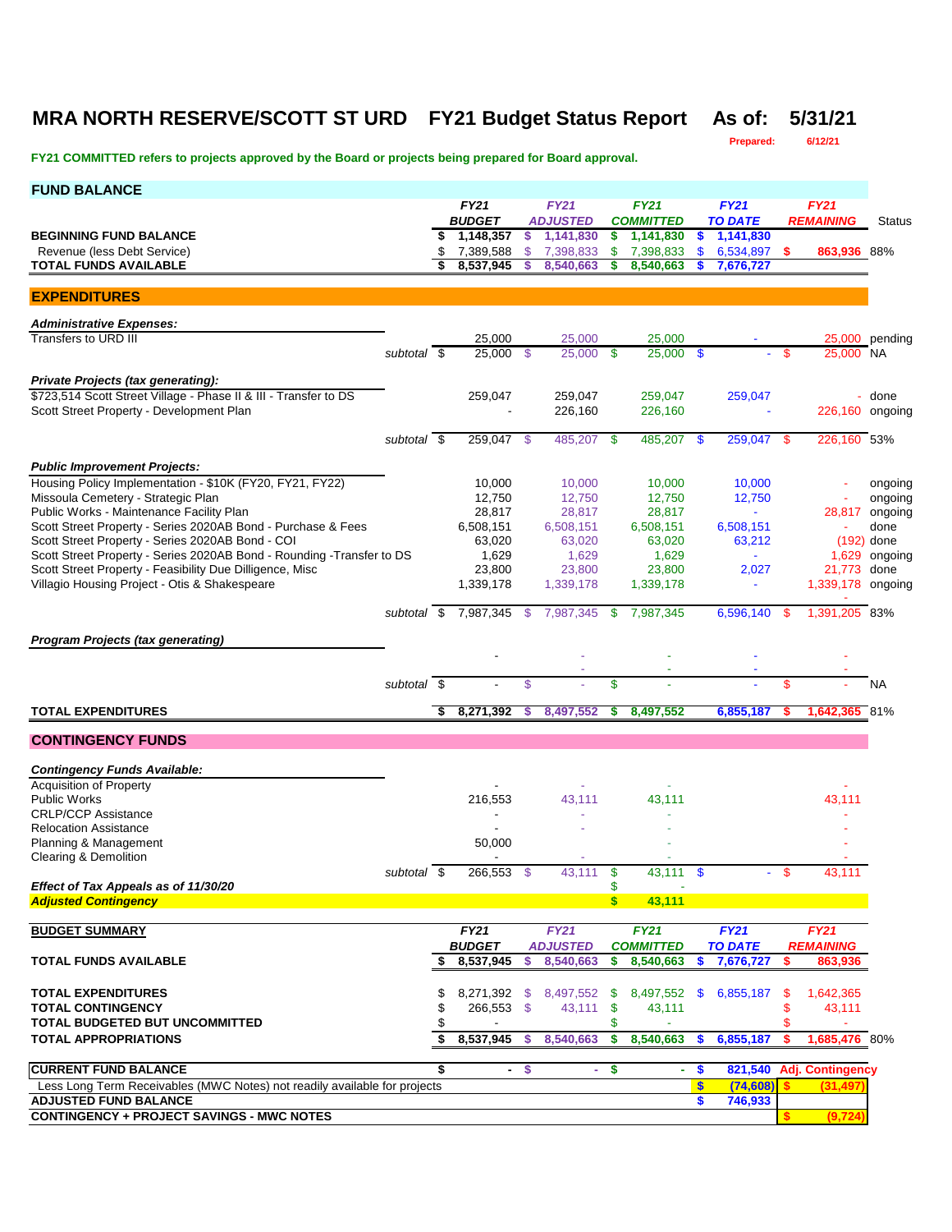### **MRA NORTH RESERVE/SCOTT ST URD FY21 Budget Status Report As of: 5/31/21**

**Prepared: 6/12/21**

| <b>FUND BALANCE</b>                                                                                    |              |    |                              |              |                              |                    |                               |      |                             |    |                             |                           |
|--------------------------------------------------------------------------------------------------------|--------------|----|------------------------------|--------------|------------------------------|--------------------|-------------------------------|------|-----------------------------|----|-----------------------------|---------------------------|
|                                                                                                        |              |    | <b>FY21</b>                  |              | <b>FY21</b>                  |                    | <b>FY21</b>                   |      | <b>FY21</b>                 |    | <b>FY21</b>                 |                           |
| <b>BEGINNING FUND BALANCE</b>                                                                          |              |    | <b>BUDGET</b><br>\$1,148,357 | $\mathbf{s}$ | <b>ADJUSTED</b><br>1,141,830 | \$                 | <b>COMMITTED</b><br>1,141,830 | s    | <b>TO DATE</b><br>1,141,830 |    | <b>REMAINING</b>            | <b>Status</b>             |
| Revenue (less Debt Service)                                                                            |              | \$ | 7,389,588                    | \$           | 7,398,833                    | \$                 | 7,398,833                     | \$   | 6,534,897                   | -S | 863,936 88%                 |                           |
| <b>TOTAL FUNDS AVAILABLE</b>                                                                           |              | \$ | 8,537,945                    |              | 8,540,663                    | \$                 | 8,540,663                     |      | 7,676,727                   |    |                             |                           |
| <b>EXPENDITURES</b>                                                                                    |              |    |                              |              |                              |                    |                               |      |                             |    |                             |                           |
| <b>Administrative Expenses:</b>                                                                        |              |    |                              |              |                              |                    |                               |      |                             |    |                             |                           |
| Transfers to URD III                                                                                   |              |    | 25,000                       |              | 25,000                       |                    | 25,000                        |      |                             |    |                             | 25,000 pending            |
|                                                                                                        | subtotal \$  |    | 25,000 \$                    |              | 25,000 \$                    |                    | $25,000$ \$                   |      |                             | S  | 25,000 NA                   |                           |
| Private Projects (tax generating):<br>\$723,514 Scott Street Village - Phase II & III - Transfer to DS |              |    |                              |              |                              |                    |                               |      |                             |    |                             |                           |
| Scott Street Property - Development Plan                                                               |              |    | 259,047                      |              | 259,047<br>226,160           |                    | 259,047<br>226,160            |      | 259,047                     |    | 226,160 ongoing             | - done                    |
|                                                                                                        |              |    |                              |              |                              |                    |                               |      |                             |    |                             |                           |
|                                                                                                        | subtotal \$  |    | $259,047$ \$                 |              | 485,207 \$                   |                    | 485,207                       | - \$ | 259,047 \$                  |    | 226,160 53%                 |                           |
| <b>Public Improvement Projects:</b>                                                                    |              |    |                              |              |                              |                    |                               |      |                             |    |                             |                           |
| Housing Policy Implementation - \$10K (FY20, FY21, FY22)                                               |              |    | 10,000                       |              | 10,000                       |                    | 10,000                        |      | 10,000                      |    |                             | ongoing                   |
| Missoula Cemetery - Strategic Plan<br>Public Works - Maintenance Facility Plan                         |              |    | 12,750<br>28,817             |              | 12,750<br>28,817             |                    | 12,750<br>28,817              |      | 12,750<br>a.                |    |                             | ongoing<br>28,817 ongoing |
| Scott Street Property - Series 2020AB Bond - Purchase & Fees                                           |              |    | 6,508,151                    |              | 6,508,151                    |                    | 6,508,151                     |      | 6,508,151                   |    |                             | done                      |
| Scott Street Property - Series 2020AB Bond - COI                                                       |              |    | 63,020                       |              | 63,020                       |                    | 63,020                        |      | 63,212                      |    |                             | $(192)$ done              |
| Scott Street Property - Series 2020AB Bond - Rounding - Transfer to DS                                 |              |    | 1,629                        |              | 1,629                        |                    | 1,629                         |      |                             |    | 1,629                       | ongoing                   |
| Scott Street Property - Feasibility Due Dilligence, Misc                                               |              |    | 23,800                       |              | 23,800                       |                    | 23,800                        |      | 2,027                       |    | 21,773                      | done                      |
| Villagio Housing Project - Otis & Shakespeare                                                          |              |    | 1,339,178                    |              | 1,339,178                    |                    | 1,339,178                     |      | $\blacksquare$              |    | 1,339,178 ongoing           |                           |
|                                                                                                        |              |    | subtotal \$7,987,345         | $^{\circ}$   | 7,987,345                    | - \$               | 7,987,345                     |      | 6,596,140 \$                |    | 1,391,205 83%               |                           |
| <b>Program Projects (tax generating)</b>                                                               |              |    |                              |              |                              |                    |                               |      |                             |    |                             |                           |
|                                                                                                        |              |    |                              |              |                              |                    |                               |      |                             |    |                             |                           |
|                                                                                                        | subtotal \$  |    |                              | \$           |                              | \$                 |                               |      |                             | \$ |                             | <b>NA</b>                 |
|                                                                                                        |              |    |                              |              |                              |                    |                               |      |                             |    |                             |                           |
| <b>TOTAL EXPENDITURES</b>                                                                              |              | \$ | 8,271,392                    | s            | 8,497,552                    | S                  | 8,497,552                     |      | 6,855,187                   | s  | 1,642,365 81%               |                           |
| <b>CONTINGENCY FUNDS</b>                                                                               |              |    |                              |              |                              |                    |                               |      |                             |    |                             |                           |
| <b>Contingency Funds Available:</b>                                                                    |              |    |                              |              |                              |                    |                               |      |                             |    |                             |                           |
| <b>Acquisition of Property</b>                                                                         |              |    |                              |              |                              |                    |                               |      |                             |    |                             |                           |
| <b>Public Works</b><br><b>CRLP/CCP Assistance</b>                                                      |              |    | 216,553                      |              | 43,111                       |                    | 43,111                        |      |                             |    | 43,111                      |                           |
| <b>Relocation Assistance</b>                                                                           |              |    |                              |              |                              |                    |                               |      |                             |    |                             |                           |
| Planning & Management                                                                                  |              |    | 50,000                       |              |                              |                    |                               |      |                             |    |                             |                           |
| Clearing & Demolition                                                                                  |              |    | $\overline{\phantom{a}}$     |              |                              |                    |                               |      |                             |    |                             |                           |
|                                                                                                        | subtotal \\$ |    | 266,553 \$                   |              | 43,111                       | \$                 | 43,111 \$                     |      |                             |    | 43,111                      |                           |
| Effect of Tax Appeals as of 11/30/20<br><b>Adjusted Contingency</b>                                    |              |    |                              |              |                              | \$<br>$\mathsf{s}$ | 43,111                        |      |                             |    |                             |                           |
|                                                                                                        |              |    |                              |              |                              |                    |                               |      |                             |    |                             |                           |
| <b>BUDGET SUMMARY</b>                                                                                  |              |    | <b>FY21</b>                  |              | <b>FY21</b>                  |                    | <b>FY21</b>                   |      | <b>FY21</b>                 |    | <b>FY21</b>                 |                           |
| <b>TOTAL FUNDS AVAILABLE</b>                                                                           |              | S  | <b>BUDGET</b><br>8,537,945   | s            | <b>ADJUSTED</b><br>8,540,663 | \$                 | <b>COMMITTED</b><br>8,540,663 | \$.  | <b>TO DATE</b><br>7,676,727 | s. | <b>REMAINING</b><br>863,936 |                           |
|                                                                                                        |              |    |                              |              |                              |                    |                               |      |                             |    |                             |                           |
| <b>TOTAL EXPENDITURES</b>                                                                              |              | \$ | 8,271,392 \$                 |              | 8,497,552 \$                 |                    | 8,497,552 \$                  |      | 6,855,187                   | \$ | 1,642,365                   |                           |
| <b>TOTAL CONTINGENCY</b>                                                                               |              | \$ | 266,553 \$                   |              | 43,111                       | \$                 | 43,111                        |      |                             | \$ | 43,111                      |                           |
| <b>TOTAL BUDGETED BUT UNCOMMITTED</b>                                                                  |              | \$ |                              |              |                              | \$                 |                               |      |                             | \$ | ÷                           |                           |
| <b>TOTAL APPROPRIATIONS</b>                                                                            |              | \$ | 8,537,945                    | s.           | 8,540,663                    | \$                 | 8,540,663                     | s    | 6,855,187                   | s. | 1,685,476 80%               |                           |
| <b>CURRENT FUND BALANCE</b>                                                                            |              | \$ |                              | $-$ \$       |                              | - \$               | $\blacksquare$                | \$   | 821,540                     |    | <b>Adj. Contingency</b>     |                           |
| Less Long Term Receivables (MWC Notes) not readily available for projects                              |              |    |                              |              |                              |                    |                               | \$   | (74, 608)                   | s. | (31, 497)                   |                           |
| <b>ADJUSTED FUND BALANCE</b>                                                                           |              |    |                              |              |                              |                    |                               | \$   | 746,933                     |    |                             |                           |
| <b>CONTINGENCY + PROJECT SAVINGS - MWC NOTES</b>                                                       |              |    |                              |              |                              |                    |                               |      |                             | s. | (9, 724)                    |                           |